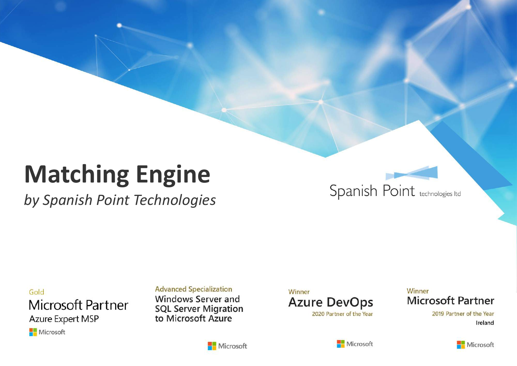# **Matching Engine**

by Spanish Point Technologies

Spanish Point technologies Itd

Gold Microsoft Partner Azure Expert MSP

Microsoft

#### **Advanced Specialization**

**Windows Server and SQL Server Migration** to Microsoft Azure

Winner **Azure DevOps** 2020 Partner of the Year

#### Winner **Microsoft Partner**

2019 Partner of the Year Ireland



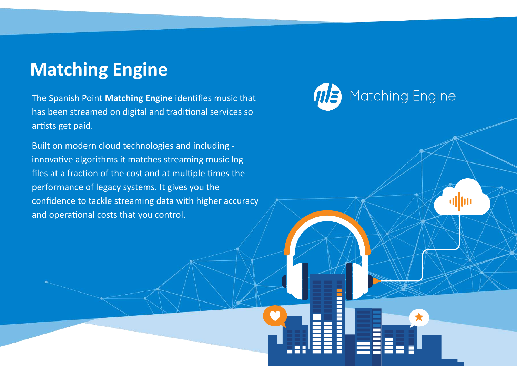# **Matching Engine**

The Spanish Point **Matching Engine** identifies music that has been streamed on digital and traditional services so artists get paid.

Built on modern cloud technologies and including innovative algorithms it matches streaming music log files at a fraction of the cost and at multiple times the performance of legacy systems. It gives you the confidence to tackle streaming data with higher accuracy and operational costs that you control.

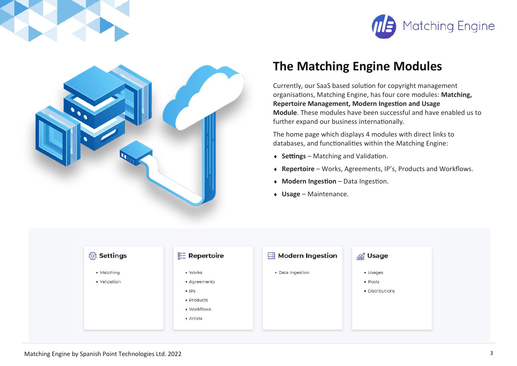



#### **The Matching Engine Modules**

Currently, our SaaS based solution for copyright management organisations, Matching Engine, has four core modules: **Matching, Repertoire Management, Modern Ingestion and Usage Module**. These modules have been successful and have enabled us to further expand our business internationally.

The home page which displays 4 modules with direct links to databases, and functionalities within the Matching Engine:

- **Settings** Matching and Validation.
- **Repertoire**  Works, Agreements, IP's, Products and Workflows.
- **Modern Ingestion**  Data Ingestion.
- **Usage** Maintenance.

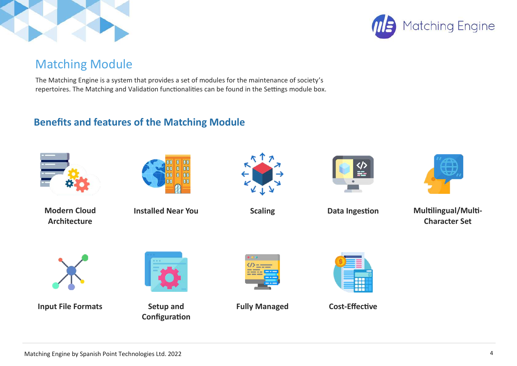



#### Matching Module

The Matching Engine is a system that provides a set of modules for the maintenance of society's repertoires. The Matching and Validation functionalities can be found in the Settings module box.

#### **Benefits and features of the Matching Module**



**Modern Cloud Architecture**



**Installed Near You** 





**Data Ingestion**



**Scaling Multilingual/Multi- Multilingual/Multi-Character Set** 



**Input File Formats** Setup and



**Configuration** 



**Fully Managed Cost-Effective** 

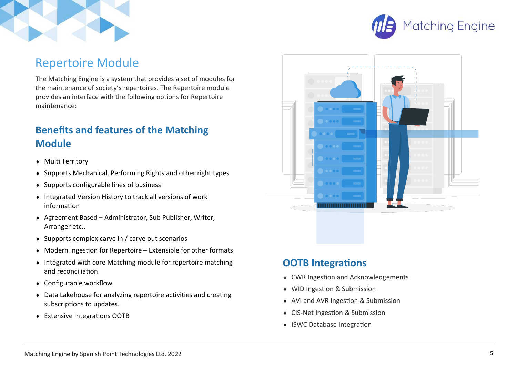



#### Repertoire Module

The Matching Engine is a system that provides a set of modules for the maintenance of society's repertoires. The Repertoire module provides an interface with the following options for Repertoire maintenance:

#### **Benefits and features of the Matching Module**

- ◆ Multi Territory
- Supports Mechanical, Performing Rights and other right types
- $\bullet$  Supports configurable lines of business
- Integrated Version History to track all versions of work information
- Agreement Based Administrator, Sub Publisher, Writer, Arranger etc..
- $\bullet$  Supports complex carve in / carve out scenarios
- Modern Ingestion for Repertoire Extensible for other formats
- $\bullet$  Integrated with core Matching module for repertoire matching and reconciliation
- Configurable workflow
- Data Lakehouse for analyzing repertoire activities and creating subscriptions to updates.
- Extensive Integrations OOTB



#### **OOTB Integrations**

- ◆ CWR Ingestion and Acknowledgements
- WID Ingestion & Submission
- ◆ AVI and AVR Ingestion & Submission
- ◆ CIS-Net Ingestion & Submission
- ISWC Database Integration